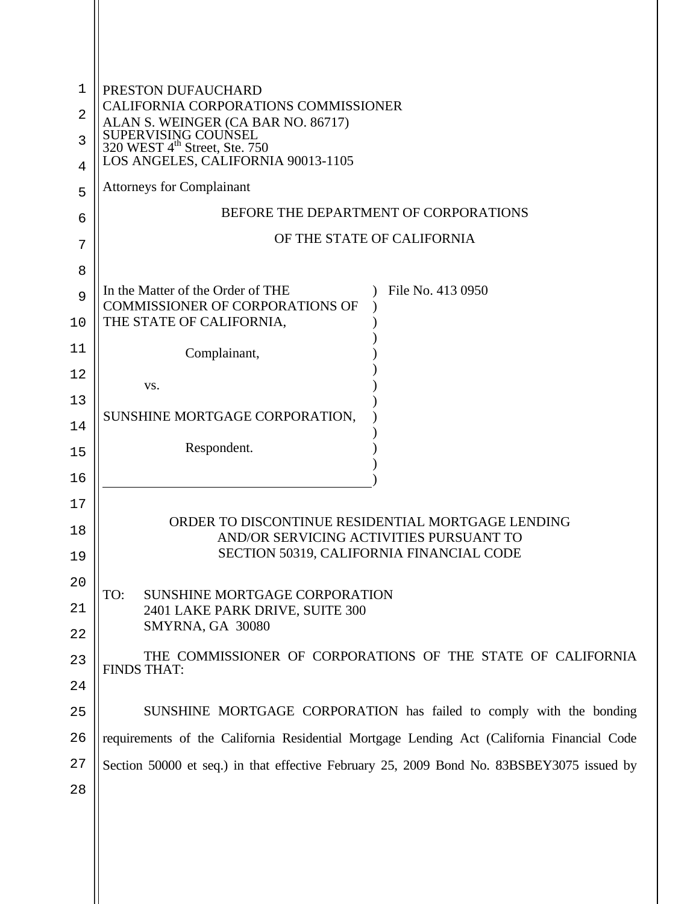| 1  | PRESTON DUFAUCHARD<br>CALIFORNIA CORPORATIONS COMMISSIONER<br>ALAN S. WEINGER (CA BAR NO. 86717)<br>SUPERVISING COUNSEL<br>320 WEST 4 <sup>th</sup> Street, Ste. 750 |  |  |
|----|----------------------------------------------------------------------------------------------------------------------------------------------------------------------|--|--|
| 2  |                                                                                                                                                                      |  |  |
| 3  |                                                                                                                                                                      |  |  |
| 4  | LOS ANGELES, CALIFORNIA 90013-1105                                                                                                                                   |  |  |
| 5  | <b>Attorneys for Complainant</b>                                                                                                                                     |  |  |
| 6  | BEFORE THE DEPARTMENT OF CORPORATIONS                                                                                                                                |  |  |
| 7  | OF THE STATE OF CALIFORNIA                                                                                                                                           |  |  |
| 8  |                                                                                                                                                                      |  |  |
| 9  | In the Matter of the Order of THE<br>File No. 413 0950<br>COMMISSIONER OF CORPORATIONS OF                                                                            |  |  |
| 10 | THE STATE OF CALIFORNIA,                                                                                                                                             |  |  |
| 11 | Complainant,                                                                                                                                                         |  |  |
| 12 | VS.                                                                                                                                                                  |  |  |
| 13 |                                                                                                                                                                      |  |  |
| 14 | SUNSHINE MORTGAGE CORPORATION,                                                                                                                                       |  |  |
| 15 | Respondent.                                                                                                                                                          |  |  |
| 16 |                                                                                                                                                                      |  |  |
| 17 |                                                                                                                                                                      |  |  |
| 18 | ORDER TO DISCONTINUE RESIDENTIAL MORTGAGE LENDING<br>AND/OR SERVICING ACTIVITIES PURSUANT TO                                                                         |  |  |
| 19 | SECTION 50319, CALIFORNIA FINANCIAL CODE                                                                                                                             |  |  |
| 20 |                                                                                                                                                                      |  |  |
| 21 | TO:<br><b>SUNSHINE MORTGAGE CORPORATION</b><br>2401 LAKE PARK DRIVE, SUITE 300                                                                                       |  |  |
| 22 | SMYRNA, GA 30080                                                                                                                                                     |  |  |
| 23 | THE COMMISSIONER OF CORPORATIONS OF THE STATE OF CALIFORNIA<br><b>FINDS THAT:</b>                                                                                    |  |  |
| 24 |                                                                                                                                                                      |  |  |
| 25 | SUNSHINE MORTGAGE CORPORATION has failed to comply with the bonding                                                                                                  |  |  |
| 26 | requirements of the California Residential Mortgage Lending Act (California Financial Code                                                                           |  |  |
| 27 | Section 50000 et seq.) in that effective February 25, 2009 Bond No. 83BSBEY3075 issued by                                                                            |  |  |
| 28 |                                                                                                                                                                      |  |  |
|    |                                                                                                                                                                      |  |  |
|    |                                                                                                                                                                      |  |  |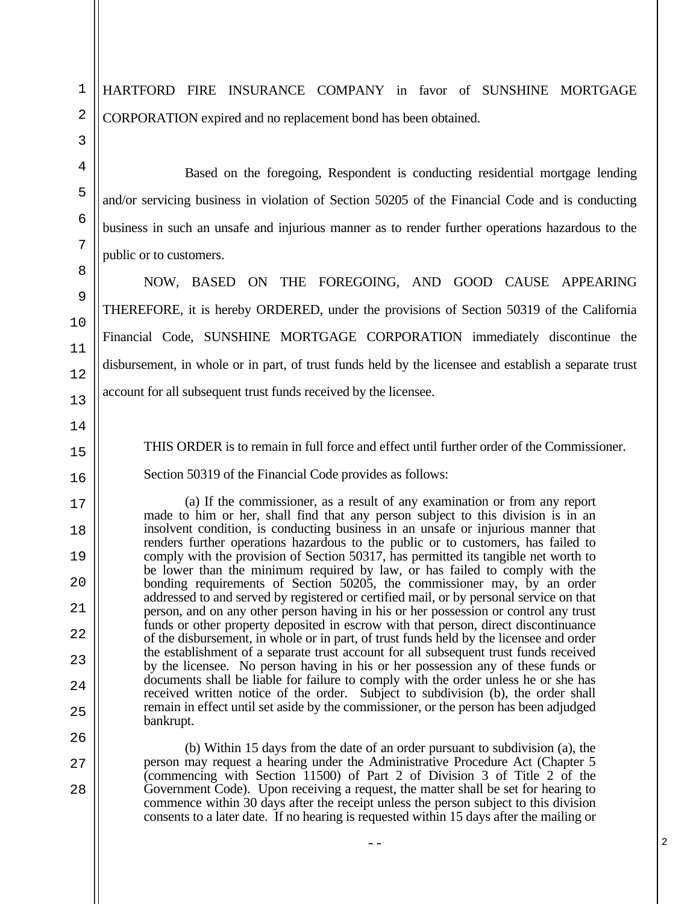HARTFORD FIRE INSURANCE COMPANY in favor of SUNSHINE MORTGAGE CORPORATION expired and no replacement bond has been obtained.

Based on the foregoing, Respondent is conducting residential mortgage lending and/or servicing business in violation of Section 50205 of the Financial Code and is conducting business in such an unsafe and injurious manner as to render further operations hazardous to the public or to customers.

NOW, BASED ON THE FOREGOING, AND GOOD CAUSE APPEARING THEREFORE, it is hereby ORDERED, under the provisions of Section 50319 of the California Financial Code, SUNSHINE MORTGAGE CORPORATION immediately discontinue the disbursement, in whole or in part, of trust funds held by the licensee and establish a separate trust account for all subsequent trust funds received by the licensee.

13 14

1

2

3

4

5

6

7

8

9

10

11

12

15 16

17

18

19

 $20$ 

21

22

23

24

25

26

27

28

THIS ORDER is to remain in full force and effect until further order of the Commissioner.

Section 50319 of the Financial Code provides as follows:

(a) If the commissioner, as a result of any examination or from any report made to him or her, shall find that any person subject to this division is in an insolvent condition, is conducting business in an unsafe or injurious manner that renders further operations hazardous to the public or to customers, has failed to comply with the provision of Section 50317, has permitted its tangible net worth to be lower than the minimum required by law, or has failed to comply with the bonding requirements of Section 50205, the commissioner may, by an order addressed to and served by registered or certified mail, or by personal service on that person, and on any other person having in his or her possession or control any trust funds or other property deposited in escrow with that person, direct discontinuance of the disbursement, in whole or in part, of trust funds held by the licensee and order the establishment of a separate trust account for all subsequent trust funds received by the licensee. No person having in his or her possession any of these funds or documents shall be liable for failure to comply with the order unless he or she has received written notice of the order. Subject to subdivision (b), the order shall remain in effect until set aside by the commissioner, or the person has been adjudged bankrupt.

(b) Within 15 days from the date of an order pursuant to subdivision (a), the person may request a hearing under the Administrative Procedure Act (Chapter 5 (commencing with Section 11500) of Part 2 of Division 3 of Title 2 of the Government Code). Upon receiving a request, the matter shall be set for hearing to commence within 30 days after the receipt unless the person subject to this division consents to a later date. If no hearing is requested within 15 days after the mailing or

--

2